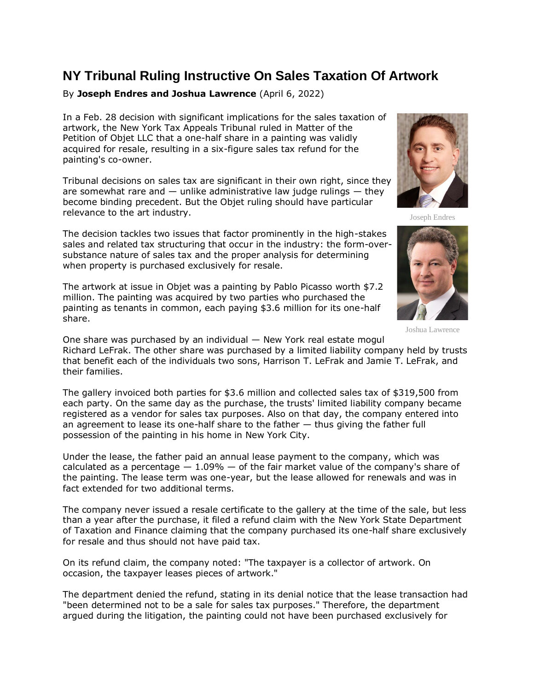## **NY Tribunal Ruling Instructive On Sales Taxation Of Artwork**

## By **Joseph Endres and Joshua Lawrence** (April 6, 2022)

In a Feb. 28 decision with significant implications for the sales taxation of artwork, the [New York Tax Appeals Tribunal](https://www.law360.com/agencies/new-york-state-tax-appeals-and-tax-appeals-tribunal) ruled in [Matter of the](https://www.law360.com/tax-authority/articles/1474901)  Petition [of Objet LLC](https://www.law360.com/tax-authority/articles/1474901) that a one-half share in a painting was validly acquired for resale, resulting in a six-figure sales tax refund for the painting's co-owner.

Tribunal decisions on sales tax are significant in their own right, since they are somewhat rare and  $-$  unlike administrative law judge rulings  $-$  they become binding precedent. But the Objet ruling should have particular relevance to the art industry.

The decision tackles two issues that factor prominently in the high-stakes sales and related tax structuring that occur in the industry: the form-oversubstance nature of sales tax and the proper analysis for determining when property is purchased exclusively for resale.

The artwork at issue in Objet was a painting by Pablo Picasso worth \$7.2 million. The painting was acquired by two parties who purchased the painting as tenants in common, each paying \$3.6 million for its one-half share.



Joseph Endres



Joshua Lawrence

One share was purchased by an individual — New York real estate mogul Richard LeFrak. The other share was purchased by a limited liability company held by trusts that benefit each of the individuals two sons, Harrison T. LeFrak and Jamie T. LeFrak, and their families.

The gallery invoiced both parties for \$3.6 million and collected sales tax of \$319,500 from each party. On the same day as the purchase, the trusts' limited liability company became registered as a vendor for sales tax purposes. Also on that day, the company entered into an agreement to lease its one-half share to the father — thus giving the father full possession of the painting in his home in New York City.

Under the lease, the father paid an annual lease payment to the company, which was calculated as a percentage  $-1.09\%$   $-$  of the fair market value of the company's share of the painting. The lease term was one-year, but the lease allowed for renewals and was in fact extended for two additional terms.

The company never issued a resale certificate to the gallery at the time of the sale, but less than a year after the purchase, it filed a refund claim with the [New York State Department](https://www.law360.com/agencies/new-york-state-department-of-taxation-and-finance)  [of Taxation and Finance](https://www.law360.com/agencies/new-york-state-department-of-taxation-and-finance) claiming that the company purchased its one-half share exclusively for resale and thus should not have paid tax.

On its refund claim, the company noted: "The taxpayer is a collector of artwork. On occasion, the taxpayer leases pieces of artwork."

The department denied the refund, stating in its denial notice that the lease transaction had "been determined not to be a sale for sales tax purposes." Therefore, the department argued during the litigation, the painting could not have been purchased exclusively for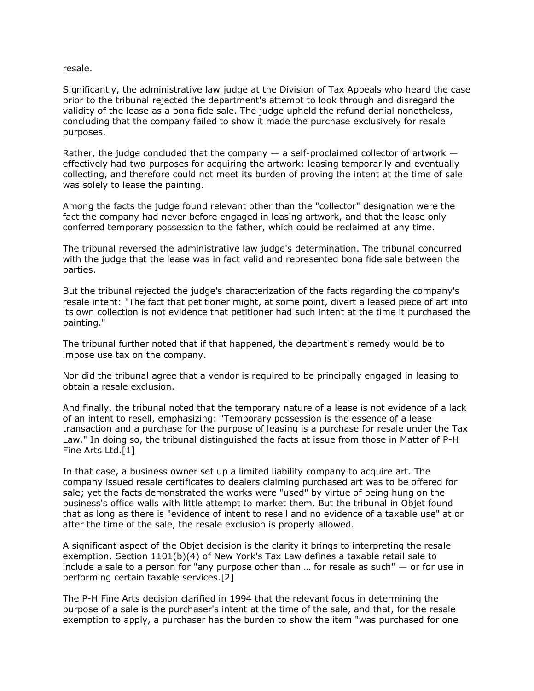resale.

Significantly, the administrative law judge at the Division of Tax Appeals who heard the case prior to the tribunal rejected the department's attempt to look through and disregard the validity of the lease as a bona fide sale. The judge upheld the refund denial nonetheless, concluding that the company failed to show it made the purchase exclusively for resale purposes.

Rather, the judge concluded that the company  $-$  a self-proclaimed collector of artwork  $$ effectively had two purposes for acquiring the artwork: leasing temporarily and eventually collecting, and therefore could not meet its burden of proving the intent at the time of sale was solely to lease the painting.

Among the facts the judge found relevant other than the "collector" designation were the fact the company had never before engaged in leasing artwork, and that the lease only conferred temporary possession to the father, which could be reclaimed at any time.

The tribunal reversed the administrative law judge's determination. The tribunal concurred with the judge that the lease was in fact valid and represented bona fide sale between the parties.

But the tribunal rejected the judge's characterization of the facts regarding the company's resale intent: "The fact that petitioner might, at some point, divert a leased piece of art into its own collection is not evidence that petitioner had such intent at the time it purchased the painting."

The tribunal further noted that if that happened, the department's remedy would be to impose use tax on the company.

Nor did the tribunal agree that a vendor is required to be principally engaged in leasing to obtain a resale exclusion.

And finally, the tribunal noted that the temporary nature of a lease is not evidence of a lack of an intent to resell, emphasizing: "Temporary possession is the essence of a lease transaction and a purchase for the purpose of leasing is a purchase for resale under the Tax Law." In doing so, the tribunal distinguished the facts at issue from those in Matter of P-H Fine Arts Ltd.[1]

In that case, a business owner set up a limited liability company to acquire art. The company issued resale certificates to dealers claiming purchased art was to be offered for sale; yet the facts demonstrated the works were "used" by virtue of being hung on the business's office walls with little attempt to market them. But the tribunal in Objet found that as long as there is "evidence of intent to resell and no evidence of a taxable use" at or after the time of the sale, the resale exclusion is properly allowed.

A significant aspect of the Objet decision is the clarity it brings to interpreting the resale exemption. Section 1101(b)(4) of New York's Tax Law defines a taxable retail sale to include a sale to a person for "any purpose other than … for resale as such" — or for use in performing certain taxable services.[2]

The P-H Fine Arts decision clarified in 1994 that the relevant focus in determining the purpose of a sale is the purchaser's intent at the time of the sale, and that, for the resale exemption to apply, a purchaser has the burden to show the item "was purchased for one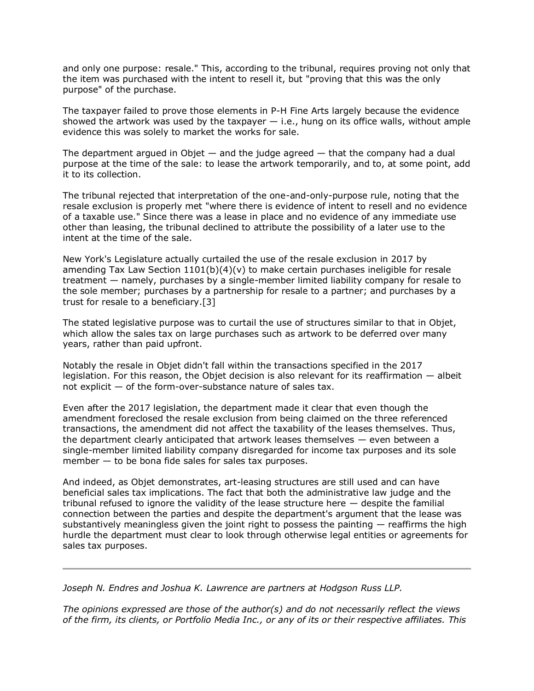and only one purpose: resale." This, according to the tribunal, requires proving not only that the item was purchased with the intent to resell it, but "proving that this was the only purpose" of the purchase.

The taxpayer failed to prove those elements in P-H Fine Arts largely because the evidence showed the artwork was used by the taxpayer  $-$  i.e., hung on its office walls, without ample evidence this was solely to market the works for sale.

The department argued in Objet  $-$  and the judge agreed  $-$  that the company had a dual purpose at the time of the sale: to lease the artwork temporarily, and to, at some point, add it to its collection.

The tribunal rejected that interpretation of the one-and-only-purpose rule, noting that the resale exclusion is properly met "where there is evidence of intent to resell and no evidence of a taxable use." Since there was a lease in place and no evidence of any immediate use other than leasing, the tribunal declined to attribute the possibility of a later use to the intent at the time of the sale.

New York's Legislature actually curtailed the use of the resale exclusion in 2017 by amending Tax Law Section  $1101(b)(4)(v)$  to make certain purchases ineligible for resale treatment — namely, purchases by a single-member limited liability company for resale to the sole member; purchases by a partnership for resale to a partner; and purchases by a trust for resale to a beneficiary.[3]

The stated legislative purpose was to curtail the use of structures similar to that in Objet, which allow the sales tax on large purchases such as artwork to be deferred over many years, rather than paid upfront.

Notably the resale in Objet didn't fall within the transactions specified in the 2017 legislation. For this reason, the Objet decision is also relevant for its reaffirmation — albeit not explicit  $-$  of the form-over-substance nature of sales tax.

Even after the 2017 legislation, the department made it clear that even though the amendment foreclosed the resale exclusion from being claimed on the three referenced transactions, the amendment did not affect the taxability of the leases themselves. Thus, the department clearly anticipated that artwork leases themselves — even between a single-member limited liability company disregarded for income tax purposes and its sole member  $-$  to be bona fide sales for sales tax purposes.

And indeed, as Objet demonstrates, art-leasing structures are still used and can have beneficial sales tax implications. The fact that both the administrative law judge and the tribunal refused to ignore the validity of the lease structure here — despite the familial connection between the parties and despite the department's argument that the lease was substantively meaningless given the joint right to possess the painting  $-$  reaffirms the high hurdle the department must clear to look through otherwise legal entities or agreements for sales tax purposes.

*[Joseph N. Endres](https://www.hodgsonruss.com/professionals-Joseph-Endres.html) and [Joshua K. Lawrence](https://www.hodgsonruss.com/professionals-Joshua-Lawrence.html) are partners at [Hodgson Russ LLP.](https://www.law360.com/firms/hodgson-russ)*

*The opinions expressed are those of the author(s) and do not necessarily reflect the views of the firm, its clients, or Portfolio Media Inc., or any of its or their respective affiliates. This*